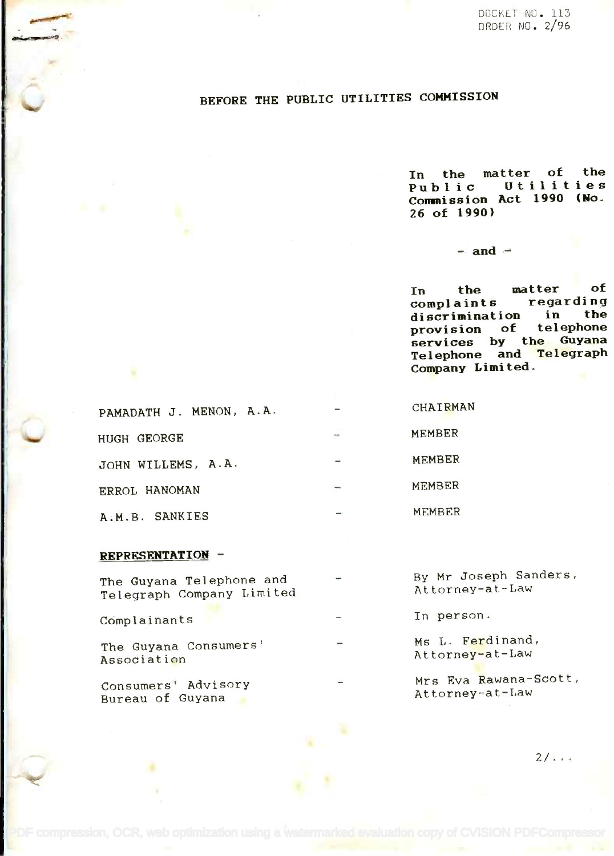# BEFORE THE PUBLIC UTILITIES COMMISSION

In the matter of the **In the matter of the** Utilities Commission Act 1990 (No-**Commission Act 1990 (Ro.** 26 of 1990) **26 of 1990)**  $P$ ublic

#### $-$  and  $-$

In the matter of **In the matter of** complaints regarding **compl a in ts regardi ng** discrimination in the **discrimination in the** provision of telephone **provision of telephone** services by the Guyana Telephone and <mark>Tele</mark>graph Company Limited. **Company Limited. services by the Guyana Telephone and Telegraph**

| PAMADATH J. MENON, A.A. |            | CHAIRMAN      |
|-------------------------|------------|---------------|
| HUGH GEORGE             | $\sim$     | MEMBER        |
| JOHN WILLEMS, A.A.      |            | <b>MEMBER</b> |
| ERROL HANOMAN           | mon,       | <b>MEMBER</b> |
| A.M.B. SANKIES          | <b>MAP</b> | MEMBER        |

## REPRESENTATION

| The Guyana Telephone and<br>Telegraph Company Limited | $\overline{\phantom{a}}$     | By Mr Joseph Sanders,<br>Attorney-at-Law |  |
|-------------------------------------------------------|------------------------------|------------------------------------------|--|
| Complainants                                          | $\qquad \qquad \blacksquare$ | In person.                               |  |
| The Guyana Consumers'<br>Association                  | $\overline{ }$               | Ms L. Ferdinand,<br>Attorney-at-Law      |  |
| Consumers' Advisory<br>Bureau of Guyana               |                              | Mrs Eva Rawana-Scott,<br>Attorney-at-Law |  |

 $2/1.44$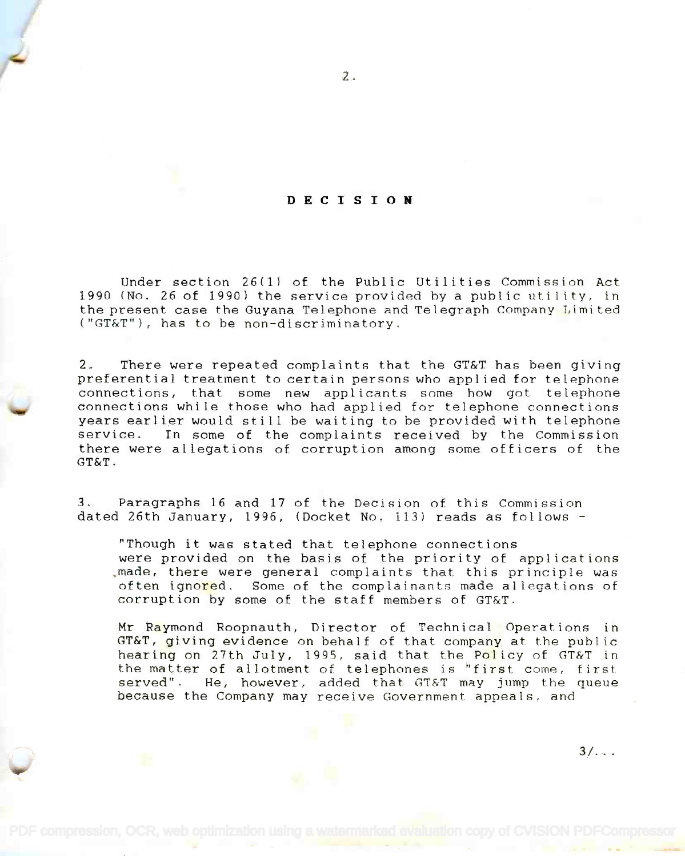### DECISION

Under section 26(1) of the Public Utilities Commission Act Under section 26(1} of the Public Utilities Commission Act 1990 (No. 26 of 1990) the service provided by a public utility, in 1990 (No. 26 of 1990) the service provided by a public utility, in the present case the Guyana Telephone and Telegraph Company Limited the present case the Guyana Telephone and Telegraph Company Limited ("GT&T"), has to be non-discriminatory. ("GT&T"), has to be non-discriminatory.

2. There were repeated complaints that the GT&T has been giving 2. There were repeated complaints that the GT&T has been giving preferential treatment to certain persons who applied for telephone preferential treatment to certain persons who applied for telephone connections, that some new applicants some how got telephone connections, that some new applicants some how got telephone connections while those who had applied for telephone connections connections while those who had applied for telephone connections years earlier would still be waiting to be provided with telephone years earlier would still be waiting to be provided with telephone service. In some of the complaints received by the Commission service. In some of the complaints received by the Commission there were allegations of corruption among some officers of the there were allegations of corruption among some officers of the GT&T. GT&T.

3. Paragraphs 16 and 17 of the Decision of this Commission 3. Paragraphs 16 and 17 of the Decision of this Commission dated 26th January, 1996, (Docket No. 113) reads as follows dated 26th January, 1996, (Docket No. 113) reads as follows -

"Though it was stated that telephone connections "Though it was stated that telephone connections were provided on the basis of the priority of applications were provided on the basis of the priority of applications ,made, there were general complaints that this principle was .made, there were general complaints that this principle was often igno<mark>re</mark>d. Some of the complainants made allegations of corruption by some of the staff members of GT&T. corruption by some of the staff members of GT&T.

Mr Raymond Roopnauth, Director of Technical Operations in Mr Raymond Roopnauth, Director of Technical Operations in GT&T, giving evidence on behalf of that compan<mark>y</mark> at the public hearing on 27th July, 1995, said that the Policy of GT&T in hearing on 27th July, 1995, said that the Policy of GT&T in the matter of allotment of telephones is "first come, first served". He, however, added that GT&T may jump the queue because the Company may receive Government appeals, and because the Company may receive Government appeals, and

 $3/\ldots$ 

2.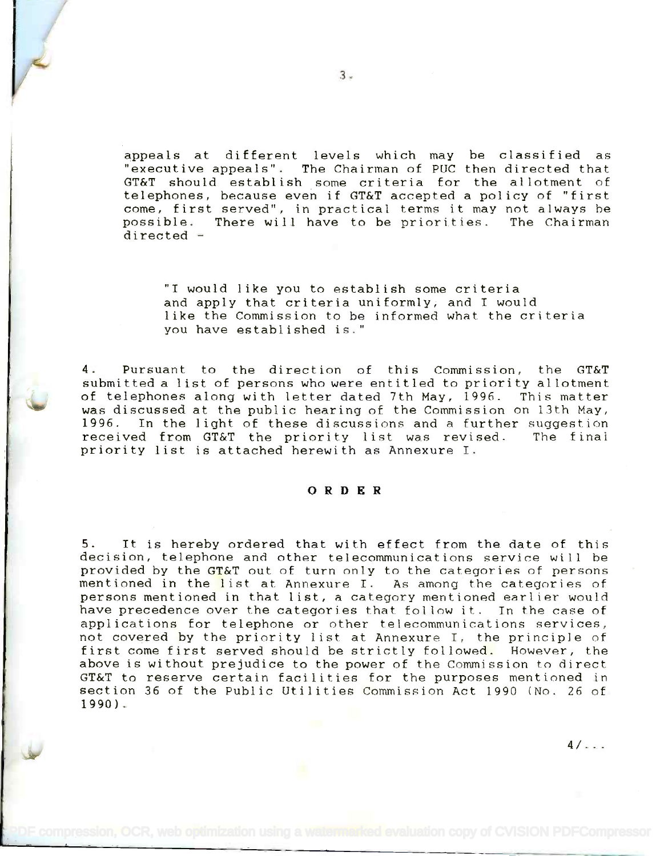appeals at different levels which may be classified as appeals at different levels which may be classified as "executive appeals". The Chairman of PUC then directed that "executive appeals". The Chairman of PUC then directed that GT&T should establish some criteria for the allotment of GT&T should establ ish some cri teria for the allotment of telephones, because even if GT&T accepted a policy of "first telephones, because even if GT&T accepted a policy of "first come, first served", in practical terms it may not always be come, first served", in practical terms it may not always be possible. There will have to be priorities. The Chairman possible. There will *have* to be priorities. The Chairman directed - directed -

"I would like you to establish some criteria "I would like you to establish some criteria and apply that criteria uniformly, and I would and apply that criteria uniformly, and I would like the Commission to be informed what the criteria you have established is." you have established is."

4. Pursuant to the direction of this Commission, the GT&T 4. Pursuant to thedirection of this Commission, the GT&T submitted a list of persons who were entitled to priority allotment submitted a list of persons who were entitled to priority allotment of telephones along with letter dated 7th May, 1996. This matter of telephones along with letter dated 7th May, 1996. This matter was discussed at the public hearing of the Commission on 13th May, was discussed at the public hearing of the Commission on 13th May, 1996. In the light of these discussions and a further suggestion 1996. In the light of these discussions and a further suggestion received from GT&T the priority list was revised. The final received from GT&T the priority list was revised. The final priority list is attached herewith as Annexure I. priority list is attached herewith as Annexure I.

## ORDER

5. It is hereby ordered that with effect from the date of this 5. It is hereby ordered that with effect from the date of this decision, telephone and other telecommunications service will be decision, telephone and other telecommunications service wi II be provided by the GT&T out of turn only to the categories of persons provided by the GT&T out of turn only to the categories of persons mentioned in the list at Annexure I. As among the categories of mentioned in the list at Annexure I. As among the categories of persons mentioned in that list, a category mentioned earlier would persons mentioned in that list, a category mentioned earlier would have precedence over the categories that follow it. In the case of *have* precedence over the categories that follow it. In the case of applications for telephone or other telecommunications services, applications for telephone or other telecommunications services, not covered by the priority list at Annexure I, the principle of not covered by the priority list at Annexure I, the principle of first come first served should be strictly followed. However, the first come first served should be strictly followed. However, the above is without prejudice to the power of the Commission to direct above is without prejudice to the power of the Commission to direct GT&T to reserve certain facilities for the purposes mentioned in GT&T to reserve certain facilities for the purposes mentioned in section 36 of the Public Utilities Commission Act 1990 (No. 26 of section 36 of the Public Utilities Commission Act 1990 (No. 26 of 1990). 1990) .